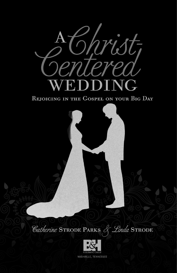

REJOICING IN THE GOSPEL ON YOUR BIG DAY



Catherine STRODE PARKS & Linda STRODE

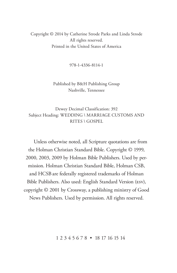Copyright © 2014 by Catherine Strode Parks and Linda Strode All rights reserved. Printed in the United States of America

978-1-4336-8114-1

#### Published by B&H Publishing Group Nashville, Tennessee

Dewey Decimal Classification: 392 Subject Heading: WEDDING \ MARRIAGE CUSTOMS AND RITES \ GOSPEL

Unless otherwise noted, all Scripture quotations are from the Holman Christian Standard Bible. Copyright © 1999, 2000, 2003, 2009 by Holman Bible Publishers. Used by permission. Holman Christian Standard Bible, Holman CSB, and HCSBare federally registered trademarks of Holman Bible Publishers. Also used: English Standard Version (ESV), copyright © 2001 by Crossway, a publishing ministry of Good News Publishers. Used by permission. All rights reserved.

1 2 3 4 5 6 7 8 • 18 17 16 15 14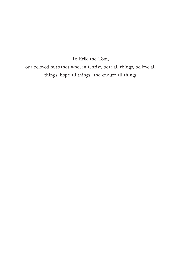To Erik and Tom,

our beloved husbands who, in Christ, bear all things, believe all things, hope all things, and endure all things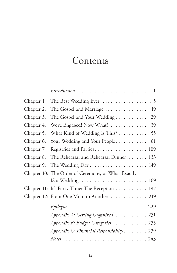# **Contents**

|            | $Introduction \ldots \ldots \ldots \ldots \ldots \ldots \ldots \ldots \ldots 1$          |
|------------|------------------------------------------------------------------------------------------|
| Chapter 1: |                                                                                          |
| Chapter 2: | The Gospel and Marriage  19                                                              |
| Chapter 3: | The Gospel and Your Wedding 29                                                           |
| Chapter 4: | We're Engaged! Now What?  39                                                             |
| Chapter 5: | What Kind of Wedding Is This?  55                                                        |
| Chapter 6: | Your Wedding and Your People 81                                                          |
| Chapter 7: | Registries and Parties 109                                                               |
| Chapter 8: | The Rehearsal and Rehearsal Dinner 133                                                   |
| Chapter 9: | The Wedding Day 149                                                                      |
|            | Chapter 10: The Order of Ceremony, or What Exactly                                       |
|            | IS a Wedding? $\ldots \ldots \ldots \ldots \ldots \ldots \ldots \ldots \ldots$ 169       |
|            | Chapter 11: It's Party Time: The Reception  197                                          |
|            | Chapter 12: From One Mom to Another  219                                                 |
|            | Epilogue  229                                                                            |
|            | Appendix A: Getting Organized. 231                                                       |
|            | Appendix B: Budget Categories  235                                                       |
|            | Appendix C: Financial Responsibility 239                                                 |
|            | $Notes \ldots \ldots \ldots \ldots \ldots \ldots \ldots \ldots \ldots \ldots \ldots 243$ |
|            |                                                                                          |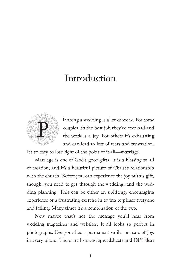### Introduction



lanning a wedding is a lot of work. For some couples it's the best job they've ever had and the work is a joy. For others it's exhausting and can lead to lots of tears and frustration.

It's so easy to lose sight of the point of it all—marriage.

Marriage is one of God's good gifts. It is a blessing to all of creation, and it's a beautiful picture of Christ's relationship with the church. Before you can experience the joy of this gift, though, you need to get through the wedding, and the wedding planning. This can be either an uplifting, encouraging experience or a frustrating exercise in trying to please everyone and failing. Many times it's a combination of the two.

Now maybe that's not the message you'll hear from wedding magazines and websites. It all looks so perfect in photographs. Everyone has a permanent smile, or tears of joy, in every photo. There are lists and spreadsheets and DIY ideas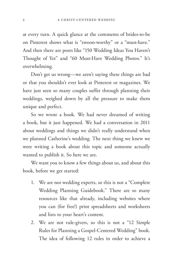at every turn. A quick glance at the comments of brides-to-be on Pinterest shows what is "swoon-worthy" or a "must-have." And then there are posts like "150 Wedding Ideas You Haven't Thought of Yet" and "60 Must-Have Wedding Photos." It's overwhelming.

Don't get us wrong—we aren't saying these things are bad or that you shouldn't ever look at Pinterest or magazines. We have just seen so many couples suffer through planning their weddings, weighed down by all the pressure to make them unique and perfect.

So we wrote a book. We had never dreamed of writing a book, but it just happened. We had a conversation in 2011 about weddings and things we didn't really understand when we planned Catherine's wedding. The next thing we knew we were writing a book about this topic and someone actually wanted to publish it. So here we are.

We want you to know a few things about us, and about this book, before we get started:

- 1. We are not wedding experts, so this is not a "Complete Wedding Planning Guidebook." There are so many resources like that already, including websites where you can (for free!) print spreadsheets and worksheets and lists to your heart's content.
- 2. We are not rule-givers, so this is not a "12 Simple Rules for Planning a Gospel-Centered Wedding" book. The idea of following 12 rules in order to achieve a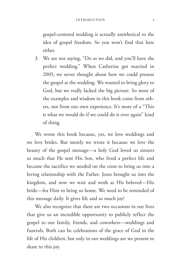gospel-centered wedding is actually antithetical to the idea of gospel freedom. So you won't find that here either.

3. We are not saying, "Do as we did, and you'll have the perfect wedding." When Catherine got married in 2005, we never thought about how we could present the gospel at the wedding. We wanted to bring glory to God, but we really lacked the big picture. So most of the examples and wisdom in this book come from others, not from our own experience. It's more of a "This is what we would do if we could do it over again" kind of thing.

We wrote this book because, yes, we love weddings and we love brides. But mostly we wrote it because we love the beauty of the gospel message—a holy God loved us sinners so much that He sent His Son, who lived a perfect life and became the sacrifice we needed on the cross to bring us into a loving relationship with the Father. Jesus brought us into the kingdom, and now we wait and work as His beloved—His bride—for Him to bring us home. We need to be reminded of this message daily. It gives life and so much joy!

We also recognize that there are two occasions in our lives that give us an incredible opportunity to publicly reflect the gospel to our family, friends, and coworkers—weddings and funerals. Both can be celebrations of the grace of God in the life of His children, but only in our weddings are we present to share in this joy.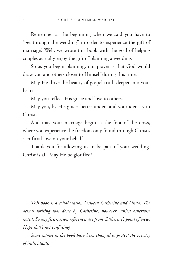Remember at the beginning when we said you have to "get through the wedding" in order to experience the gift of marriage? Well, we wrote this book with the goal of helping couples actually enjoy the gift of planning a wedding.

So as you begin planning, our prayer is that God would draw you and others closer to Himself during this time.

May He drive the beauty of gospel truth deeper into your heart.

May you reflect His grace and love to others.

May you, by His grace, better understand your identity in Christ.

And may your marriage begin at the foot of the cross, where you experience the freedom only found through Christ's sacrificial love on your behalf.

Thank you for allowing us to be part of your wedding. Christ is all! May He be glorified!

*This book is a collaboration between Catherine and Linda. The actual writing was done by Catherine, however, unless otherwise noted. So any first-person references are from Catherine's point of view. Hope that's not confusing!*

*Some names in the book have been changed to protect the privacy of individuals.*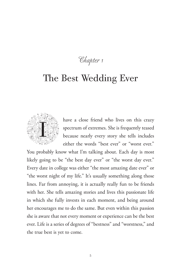Chapter 1

## The Best Wedding Ever



have a close friend who lives on this crazy spectrum of extremes. She is frequently teased because nearly every story she tells includes either the words "best ever" or "worst ever."

You probably know what I'm talking about. Each day is most likely going to be "the best day ever" or "the worst day ever." Every date in college was either "the most amazing date ever" or "the worst night of my life." It's usually something along those lines. Far from annoying, it is actually really fun to be friends with her. She tells amazing stories and lives this passionate life in which she fully invests in each moment, and being around her encourages me to do the same. But even within this passion she is aware that not every moment or experience can be the best ever. Life is a series of degrees of "bestness" and "worstness," and the true best is yet to come.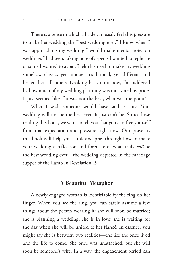There is a sense in which a bride can easily feel this pressure to make her wedding the "best wedding ever." I know when I was approaching my wedding I would make mental notes on weddings I had seen, taking note of aspects I wanted to replicate or some I wanted to avoid. I felt this need to make my wedding somehow classic, yet unique—traditional, yet different and better than all others. Looking back on it now, I'm saddened by how much of my wedding planning was motivated by pride. It just seemed like if it was not the best, what was the point?

What I wish someone would have said is this: Your wedding will not be the best ever. It just can't be. So to those reading this book, we want to tell you that you can free yourself from that expectation and pressure right now. Our prayer is this book will help you think and pray through how to make your wedding a reflection and foretaste of what truly *will* be the best wedding ever—the wedding depicted in the marriage supper of the Lamb in Revelation 19.

#### A Beautiful Metaphor

A newly engaged woman is identifiable by the ring on her finger. When you see the ring, you can safely assume a few things about the person wearing it: she will soon be married; she is planning a wedding; she is in love; she is waiting for the day when she will be united to her fiancé. In essence, you might say she is between two realities—the life she once lived and the life to come. She once was unattached, but she will soon be someone's wife. In a way, the engagement period can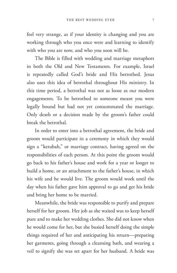feel very strange, as if your identity is changing and you are working through who you once were and learning to identify with who you are now, and who you soon will be.

The Bible is filled with wedding and marriage metaphors in both the Old and New Testaments. For example, Israel is repeatedly called God's bride and His betrothed. Jesus also uses this idea of betrothal throughout His ministry. In this time period, a betrothal was not as loose as our modern engagements. To be betrothed to someone meant you were legally bound but had not yet consummated the marriage. Only death or a decision made by the groom's father could break the betrothal.

In order to enter into a betrothal agreement, the bride and groom would participate in a ceremony in which they would sign a "ketubah," or marriage contract, having agreed on the responsibilities of each person. At this point the groom would go back to his father's house and work for a year or longer to build a home, or an attachment to the father's house, in which his wife and he would live. The groom would work until the day when his father gave him approval to go and get his bride and bring her home to be married.

Meanwhile, the bride was responsible to purify and prepare herself for her groom. Her job as she waited was to keep herself pure and to make her wedding clothes. She did not know when he would come for her, but she busied herself doing the simple things required of her and anticipating his return—preparing her garments, going through a cleansing bath, and wearing a veil to signify she was set apart for her husband. A bride was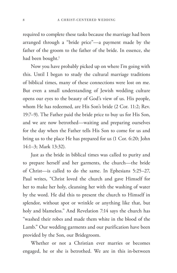required to complete these tasks because the marriage had been arranged through a "bride price"—a payment made by the father of the groom to the father of the bride. In essence, she had been bought.<sup>1</sup>

Now you have probably picked up on where I'm going with this. Until I began to study the cultural marriage traditions of biblical times, many of these connections were lost on me. But even a small understanding of Jewish wedding culture opens our eyes to the beauty of God's view of us. His people, whom He has redeemed, are His Son's bride (2 Cor. 11:2; Rev. 19:7–9). The Father paid the bride price to buy us for His Son, and we are now betrothed—waiting and preparing ourselves for the day when the Father tells His Son to come for us and bring us to the place He has prepared for us (1 Cor. 6:20; John 14:1–3; Mark 13:32).

Just as the bride in biblical times was called to purity and to prepare herself and her garments, the church—the bride of Christ—is called to do the same. In Ephesians 5:25–27, Paul writes, "Christ loved the church and gave Himself for her to make her holy, cleansing her with the washing of water by the word. He did this to present the church to Himself in splendor, without spot or wrinkle or anything like that, but holy and blameless." And Revelation 7:14 says the church has "washed their robes and made them white in the blood of the Lamb." Our wedding garments and our purification have been provided by the Son, our Bridegroom.

Whether or not a Christian ever marries or becomes engaged, he or she is betrothed. We are in this in-between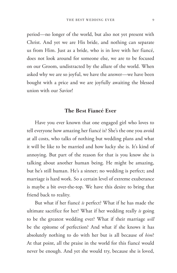period—no longer of the world, but also not yet present with Christ. And yet we are His bride, and nothing can separate us from Him. Just as a bride, who is in love with her fiancé, does not look around for someone else, we are to be focused on our Groom, undistracted by the allure of the world. When asked why we are so joyful, we have the answer—we have been bought with a price and we are joyfully awaiting the blessed union with our Savior!

#### The Best Fiancé Ever

Have you ever known that one engaged girl who loves to tell everyone how amazing her fiancé is? She's the one you avoid at all costs, who talks of nothing but wedding plans and what it will be like to be married and how lucky she is. It's kind of annoying. But part of the reason for that is you know she is talking about another human being. He might be amazing, but he's still human. He's a sinner; no wedding is perfect; and marriage is hard work. So a certain level of extreme exuberance is maybe a bit over-the-top. We have this desire to bring that friend back to reality.

But what if her fiancé *is* perfect? What if he has made the ultimate sacrifice for her? What if her wedding really *is* going to be the greatest wedding ever? What if their marriage *will* be the epitome of perfection? And what if she knows it has absolutely nothing to do with her but is all because of *him*? At that point, all the praise in the world for this fiancé would never be enough. And yet she would try, because she is loved,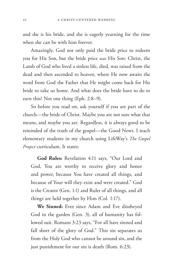and she is his bride, and she is eagerly yearning for the time when she can be with him forever.

Amazingly, God not only paid the bride price to redeem you for His Son, but the bride price *was* His Son: Christ, the Lamb of God who lived a sinless life, died, was raised from the dead and then ascended to heaven, where He now awaits the word from God the Father that He might come back for His bride to take us home. And what does the bride have to do to earn this? Not one thing (Eph. 2:8–9).

So before you read on, ask yourself if you are part of the church—the bride of Christ. Maybe you are not sure what that means, and maybe you are. Regardless, it is always good to be reminded of the truth of the gospel—the Good News. I teach elementary students in my church using LifeWay's *The Gospel Project* curriculum. It states:

**God Rules:** Revelation 4:11 says, "Our Lord and God, You are worthy to receive glory and honor and power, because You have created all things, and because of Your will they exist and were created." God is the Creator (Gen. 1:1) and Ruler of all things, and all things are held together by Him (Col. 1:17).

**We Sinned:** Ever since Adam and Eve disobeyed God in the garden (Gen. 3), all of humanity has followed suit. Romans 3:23 says, "For all have sinned and fall short of the glory of God." This sin separates us from the Holy God who cannot be around sin, and the just punishment for our sin is death (Rom. 6:23).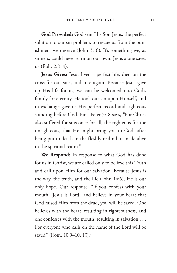**God Provided:** God sent His Son Jesus, the perfect solution to our sin problem, to rescue us from the punishment we deserve (John 3:16). It's something we, as sinners, could never earn on our own. Jesus alone saves us (Eph. 2:8–9).

**Jesus Gives:** Jesus lived a perfect life, died on the cross for our sins, and rose again. Because Jesus gave up His life for us, we can be welcomed into God's family for eternity. He took our sin upon Himself, and in exchange gave us His perfect record and righteous standing before God. First Peter 3:18 says, "For Christ also suffered for sins once for all, the righteous for the unrighteous, that He might bring you to God, after being put to death in the fleshly realm but made alive in the spiritual realm."

**We Respond:** In response to what God has done for us in Christ, we are called only to believe this Truth and call upon Him for our salvation. Because Jesus is the way, the truth, and the life (John 14:6), He is our only hope. Our response: "If you confess with your mouth, 'Jesus is Lord,' and believe in your heart that God raised Him from the dead, you will be saved. One believes with the heart, resulting in righteousness, and one confesses with the mouth, resulting in salvation . . . For everyone who calls on the name of the Lord will be saved" (Rom. 10:9-10, 13).<sup>2</sup>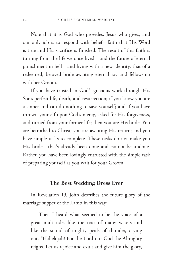Note that it is God who provides, Jesus who gives, and our only job is to respond with belief—faith that His Word is true and His sacrifice is finished. The result of this faith is turning from the life we once lived—and the future of eternal punishment in hell—and living with a new identity, that of a redeemed, beloved bride awaiting eternal joy and fellowship with her Groom.

If you have trusted in God's gracious work through His Son's perfect life, death, and resurrection; if you know you are a sinner and can do nothing to save yourself; and if you have thrown yourself upon God's mercy, asked for His forgiveness, and turned from your former life; then you are His bride. You are betrothed to Christ; you are awaiting His return; and you have simple tasks to complete. These tasks do not make you His bride—that's already been done and cannot be undone. Rather, you have been lovingly entrusted with the simple task of preparing yourself as you wait for your Groom.

#### The Best Wedding Dress Ever

In Revelation 19, John describes the future glory of the marriage supper of the Lamb in this way:

Then I heard what seemed to be the voice of a great multitude, like the roar of many waters and like the sound of mighty peals of thunder, crying out, "Hallelujah! For the Lord our God the Almighty reigns. Let us rejoice and exult and give him the glory,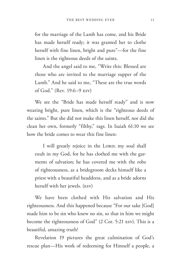for the marriage of the Lamb has come, and his Bride has made herself ready; it was granted her to clothe herself with fine linen, bright and pure"—for the fine linen is the righteous deeds of the saints.

And the angel said to me, "Write this: Blessed are those who are invited to the marriage supper of the Lamb." And he said to me, "These are the true words of God." (Rev. 19:6–9 ESV)

We see the "Bride has made herself ready" and is now wearing bright, pure linen, which is the "righteous deeds of the saints." But she did not make this linen herself, nor did she clean her own, formerly "filthy," rags. In Isaiah 61:10 we see how the bride comes to wear this fine linen:

I will greatly rejoice in the LORD; my soul shall exult in my God, for he has clothed me with the garments of salvation; he has covered me with the robe of righteousness, as a bridegroom decks himself like a priest with a beautiful headdress, and as a bride adorns herself with her jewels. (ESV)

We have been clothed with His salvation and His righteousness. And this happened because "For our sake [God] made him to be sin who knew no sin, so that in him we might become the righteousness of God" (2 Cor. 5:21 ESV). This is a beautiful, amazing truth!

Revelation 19 pictures the great culmination of God's rescue plan—His work of redeeming for Himself a people, a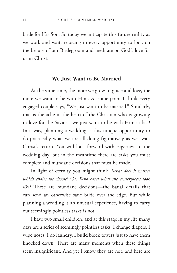bride for His Son. So today we anticipate this future reality as we work and wait, rejoicing in every opportunity to look on the beauty of our Bridegroom and meditate on God's love for us in Christ.

#### We Just Want to Be Married

At the same time, the more we grow in grace and love, the more we want to be with Him. At some point I think every engaged couple says, "We just want to be married." Similarly, that is the ache in the heart of the Christian who is growing in love for the Savior—we just want to be with Him at last! In a way, planning a wedding is this unique opportunity to do practically what we are all doing figuratively as we await Christ's return. You will look forward with eagerness to the wedding day, but in the meantime there are tasks you must complete and mundane decisions that must be made.

In light of eternity you might think, *What does it matter which chairs we choose?* Or, *Who cares what the centerpieces look like?* These are mundane decisions—the banal details that can send an otherwise sane bride over the edge. But while planning a wedding is an unusual experience, having to carry out seemingly pointless tasks is not.

I have two small children, and at this stage in my life many days are a series of seemingly pointless tasks. I change diapers. I wipe noses. I do laundry. I build block towers just to have them knocked down. There are many moments when these things seem insignificant. And yet I know they are not, and here are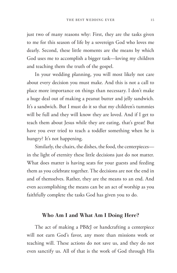just two of many reasons why: First, they are the tasks given to me for this season of life by a sovereign God who loves me dearly. Second, these little moments are the means by which God uses me to accomplish a bigger task—loving my children and teaching them the truth of the gospel.

In your wedding planning, you will most likely not care about every decision you must make. And this is not a call to place more importance on things than necessary. I don't make a huge deal out of making a peanut butter and jelly sandwich. It's a sandwich. But I must do it so that my children's tummies will be full and they will know they are loved. And if I get to teach them about Jesus while they are eating, that's great! But have you ever tried to teach a toddler something when he is hungry? It's not happening.

Similarly, the chairs, the dishes, the food, the centerpieces in the light of eternity these little decisions just do not matter. What does matter is having seats for your guests and feeding them as you celebrate together. The decisions are not the end in and of themselves. Rather, they are the means to an end. And even accomplishing the means can be an act of worship as you faithfully complete the tasks God has given you to do.

#### Who Am I and What Am I Doing Here?

The act of making a PB&J or handcrafting a centerpiece will not earn God's favor, any more than missions work or teaching will. These actions do not save us, and they do not even sanctify us. All of that is the work of God through His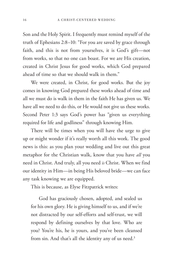Son and the Holy Spirit. I frequently must remind myself of the truth of Ephesians 2:8–10: "For you are saved by grace through faith, and this is not from yourselves, it is God's gift—not from works, so that no one can boast. For we are His creation, created in Christ Jesus for good works, which God prepared ahead of time so that we should walk in them."

We were created, in Christ, for good works. But the joy comes in knowing God prepared these works ahead of time and all we must do is walk in them in the faith He has given us. We have all we need to do this, or He would not give us these works. Second Peter 1:3 says God's power has "given us everything required for life and godliness" through knowing Him.

There will be times when you will have the urge to give up or might wonder if it's really worth all this work. The good news is this: as you plan your wedding and live out this great metaphor for the Christian walk, know that you have *all* you need in Christ. And truly, all you need *is* Christ. When we find our identity in Him—in being His beloved bride—we can face any task knowing we are equipped.

This is because, as Elyse Fitzpatrick writes:

God has graciously chosen, adopted, and sealed us for his own glory. He is giving himself to us, and if we're not distracted by our self-efforts and self-trust, we will respond by defining ourselves by that love. Who are you? You're his, he is yours, and you've been cleansed from sin. And that's all the identity any of us need.<sup>3</sup>